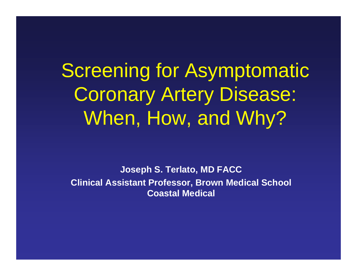Screening for Asymptomatic Coronary Artery Disease: When, How, and Why?

**Joseph S. Terlato, MD FACC Clinical Assistant Professor, Brown Medical School Coastal Medical**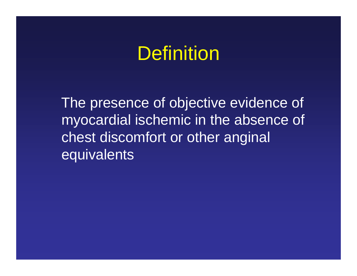### **Definition**

The presence of objective evidence of myocardial ischemic in the absence of chest discomfort or other anginal **equivalents**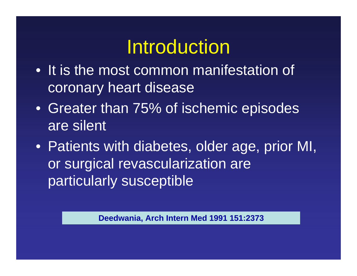## Introduction

- It is the most common manifestation of coronary heart disease
- Greater than 75% of ischemic episodes are silent
- Patients with diabetes, older age, prior MI, or surgical revascularization are particularly susceptible

**Deedwania, Arch Intern Med 1991 151:2373**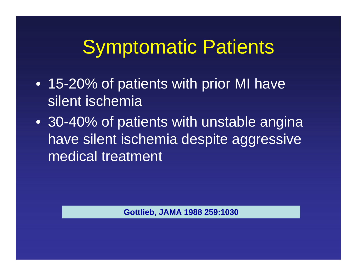### Symptomatic Patients

- 15-20% of patients with prior MI have silent ischemia
- 30-40% of patients with unstable angina have silent ischemia despite aggressive medical treatment

**Gottlieb, JAMA 1988 259:1030**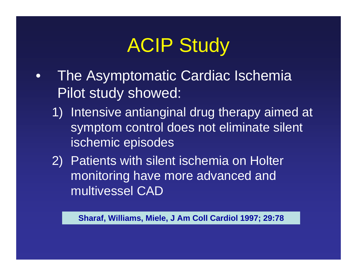# ACIP Study

- $\bullet$  The Asymptomatic Cardiac Ischemia Pilot study showed:
	- 1) Intensive antianginal drug therapy aimed at symptom control does not eliminate silent ischemic episodes
	- 2) Patients with silent ischemia on Holter monitoring have more advanced and multivessel CAD

**Sharaf, Williams, Miele, J Am Coll Cardiol 1997; 29:78**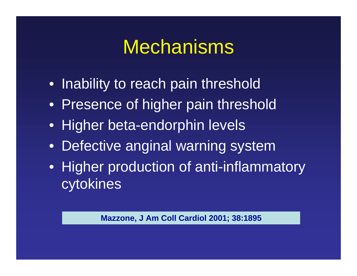### Mechanisms

- Inability to reach pain threshold
- Presence of higher pain threshold
- Higher beta-endorphin levels
- •Defective anginal warning system
- Higher production of anti-inflammatory cytokines

**Mazzone, J Am Coll Cardiol 2001; 38:1895**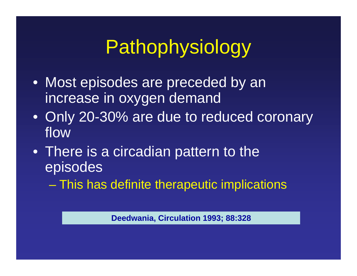# Pathophysiology

- Most episodes are preceded by an increase in oxygen demand
- Only 20-30% are due to reduced coronary flow
- There is a circadian pattern to the episodes
	- This has definite therapeutic implications

**Deedwania, Circulation 1993; 88:328**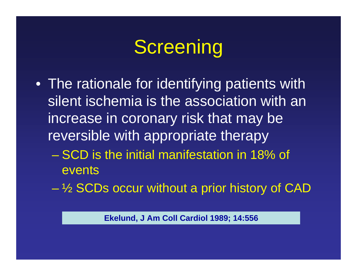## **Screening**

- The rationale for identifying patients with silent ischemia is the association with an increase in coronary risk that may be reversible with appropriate therapy
	- SCD is the initial manifestation in 18% of events
	- ½ SCDs occur without a prior history of CAD

**Ekelund, J Am Coll Cardiol 1989; 14:556**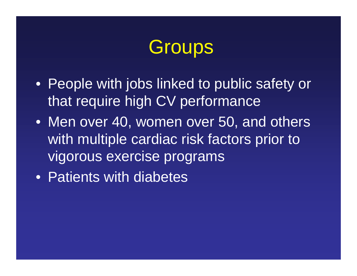## **Groups**

- People with jobs linked to public safety or that require high CV performance
- Men over 40, women over 50, and others with multiple cardiac risk factors prior to vigorous exercise programs
- Patients with diabetes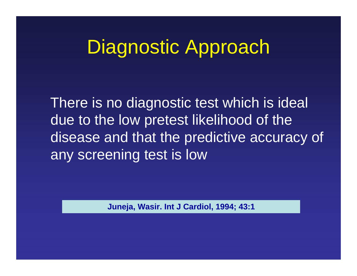### Diagnostic Approach

There is no diagnostic test which is ideal due to the low pretest likelihood of the disease and that the predictive accuracy of any screening test is low

**Juneja, Wasir. Int J Cardiol, 1994; 43:1**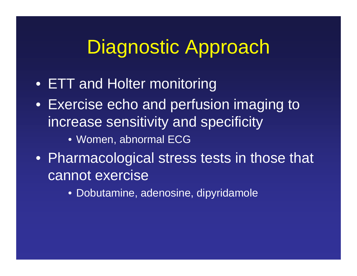### Diagnostic Approach

- ETT and Holter monitoring
- Exercise echo and perfusion imaging to increase sensitivity and specificity
	- Women, abnormal ECG
- Pharmacological stress tests in those that cannot exercise
	- Dobutamine, adenosine, dipyridamole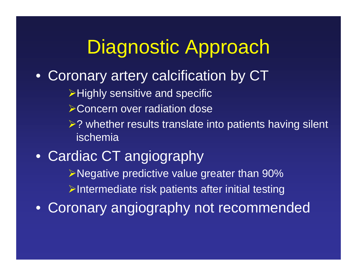### Diagnostic Approach

 $\bullet$ Coronary artery calcification by CT

 $\triangleright$  Highly sensitive and specific

- **≻Concern over radiation dose**
- ▶? whether results translate into patients having silent ischemia

• Cardiac CT angiography Negative predictive value greater than 90%  $\triangleright$ Intermediate risk patients after initial testing

• Coronary angiography not recommended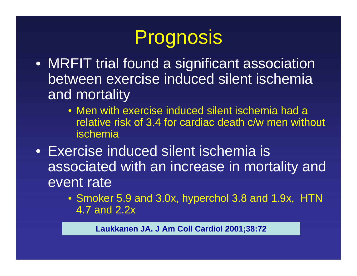# Prognosis

- MRFIT trial found a significant association between exercise induced silent ischemia and mortality
	- Men with exercise induced silent ischemia had a relative risk of 3.4 for cardiac death c/w men without ischemia
- Exercise induced silent ischemia is associated with an increase in mortality and event rate
	- Smoker 5.9 and 3.0x, hyperchol 3.8 and 1.9x, HTN 4.7 and 2.2x

**Laukkanen JA. J Am Coll Cardiol 2001;38:72**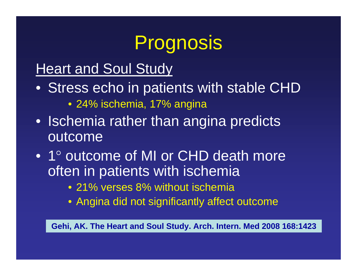# Prognosis

### Heart and Soul Study

- Stress echo in patients with stable CHD
	- 24% ischemia, 17% angina
- Ischemia rather than angina predicts **outcome**
- 1° outcome of MI or CHD death more often in patients with ischemia
	- 21% verses 8% without ischemia
	- Angina did not significantly affect outcome

**Gehi, AK. The Heart and Soul Study. Arch. Intern. Med 2008 168:1423**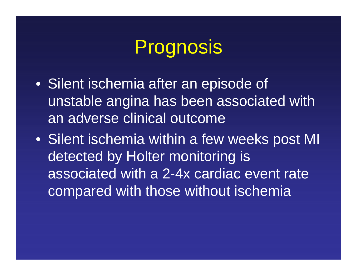## Prognosis

- Silent ischemia after an episode of unstable angina has been associated with an adverse clinical outcome
- Silent ischemia within a few weeks post MI detected by Holter monitoring is associated with a 2-4x cardiac event rate compared with those without ischemia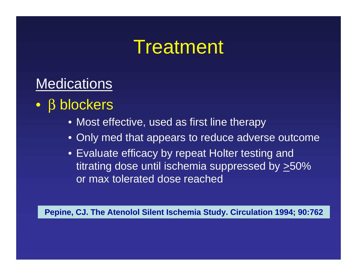### **Treatment**

### Medications

- $\bullet$  β blockers
	- Most effective, used as first line therapy
	- Only med that appears to reduce adverse outcome
	- Evaluate efficacy by repeat Holter testing and titrating dose until ischemia suppressed by  $\geq 50\%$ or max tolerated dose reached

**Pepine, CJ. The Atenolol Silent Ischemia Study. Circulation 1994; 90:762**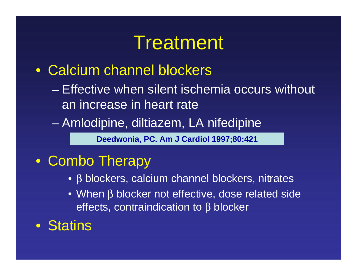### **Treatment**

#### • Calcium channel blockers

- Effective when silent ischemia occurs without an increase in heart rate
- Amlodipine, diltiazem, LA nifedipine

**Deedwonia, PC. Am J Cardiol 1997;80:421**

### • Combo Therapy

- β blockers, calcium channel blockers, nitrates
- When β blocker not effective, dose related side effects, contraindication to β blocker

• Statins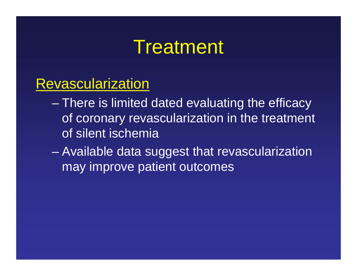### **Treatment**

#### Revascularization

- There is limited dated evaluating the efficacy of coronary revascularization in the treatment of silent ischemia
- Available data suggest that revascularization may improve patient outcomes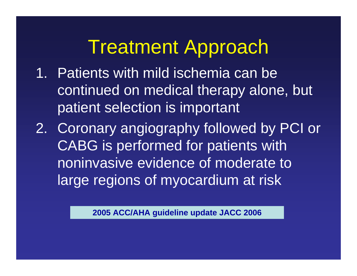## Treatment Approach

- 1. Patients with mild ischemia can be continued on medical therapy alone, but patient selection is important
- 2. Coronary angiography followed by PCI or CABG is performed for patients with noninvasive evidence of moderate to large regions of myocardium at risk

**2005 ACC/AHA guideline update JACC 2006**